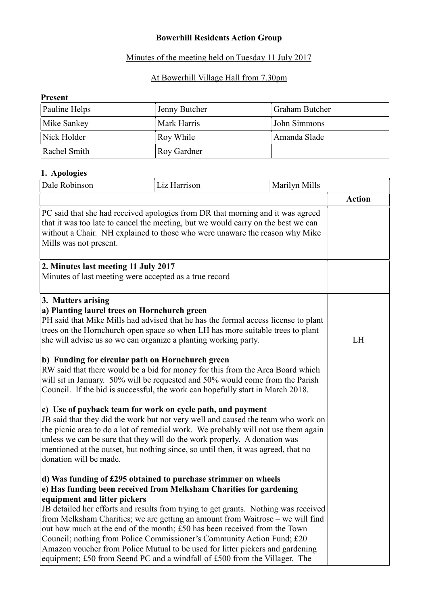# Bowerhill Residents Action Group

## Minutes of the meeting held on Tuesday 11 July 2017

# At Bowerhill Village Hall from 7.30pm

#### Present

| Pauline Helps | Jenny Butcher | <b>Graham Butcher</b> |
|---------------|---------------|-----------------------|
| Mike Sankey   | Mark Harris   | John Simmons          |
| Nick Holder   | Roy While     | Amanda Slade          |
| Rachel Smith  | Roy Gardner   |                       |

### 1. Apologies

| Dale Robinson                                                                                                                                                                                                                                                                                                                                                                                                                                                                                                                                                                                                                                                       | Liz Harrison                                                                                                                                                                                                                                                                                                                                                                                                                                                                                                                                                                                                                                                                                                                                                                                                                       | Marilyn Mills |               |
|---------------------------------------------------------------------------------------------------------------------------------------------------------------------------------------------------------------------------------------------------------------------------------------------------------------------------------------------------------------------------------------------------------------------------------------------------------------------------------------------------------------------------------------------------------------------------------------------------------------------------------------------------------------------|------------------------------------------------------------------------------------------------------------------------------------------------------------------------------------------------------------------------------------------------------------------------------------------------------------------------------------------------------------------------------------------------------------------------------------------------------------------------------------------------------------------------------------------------------------------------------------------------------------------------------------------------------------------------------------------------------------------------------------------------------------------------------------------------------------------------------------|---------------|---------------|
|                                                                                                                                                                                                                                                                                                                                                                                                                                                                                                                                                                                                                                                                     |                                                                                                                                                                                                                                                                                                                                                                                                                                                                                                                                                                                                                                                                                                                                                                                                                                    |               | <b>Action</b> |
| PC said that she had received apologies from DR that morning and it was agreed<br>that it was too late to cancel the meeting, but we would carry on the best we can<br>without a Chair. NH explained to those who were unaware the reason why Mike<br>Mills was not present.                                                                                                                                                                                                                                                                                                                                                                                        |                                                                                                                                                                                                                                                                                                                                                                                                                                                                                                                                                                                                                                                                                                                                                                                                                                    |               |               |
| 2. Minutes last meeting 11 July 2017<br>Minutes of last meeting were accepted as a true record                                                                                                                                                                                                                                                                                                                                                                                                                                                                                                                                                                      |                                                                                                                                                                                                                                                                                                                                                                                                                                                                                                                                                                                                                                                                                                                                                                                                                                    |               |               |
| 3. Matters arising<br>a) Planting laurel trees on Hornchurch green<br>she will advise us so we can organize a planting working party.<br>b) Funding for circular path on Hornchurch green<br>donation will be made.                                                                                                                                                                                                                                                                                                                                                                                                                                                 | PH said that Mike Mills had advised that he has the formal access license to plant<br>trees on the Hornchurch open space so when LH has more suitable trees to plant<br>RW said that there would be a bid for money for this from the Area Board which<br>will sit in January. 50% will be requested and 50% would come from the Parish<br>Council. If the bid is successful, the work can hopefully start in March 2018.<br>c) Use of payback team for work on cycle path, and payment<br>JB said that they did the work but not very well and caused the team who work on<br>the picnic area to do a lot of remedial work. We probably will not use them again<br>unless we can be sure that they will do the work properly. A donation was<br>mentioned at the outset, but nothing since, so until then, it was agreed, that no |               | LH            |
| d) Was funding of £295 obtained to purchase strimmer on wheels<br>e) Has funding been received from Melksham Charities for gardening<br>equipment and litter pickers<br>JB detailed her efforts and results from trying to get grants. Nothing was received<br>from Melksham Charities; we are getting an amount from Waitrose – we will find<br>out how much at the end of the month; £50 has been received from the Town<br>Council; nothing from Police Commissioner's Community Action Fund; £20<br>Amazon voucher from Police Mutual to be used for litter pickers and gardening<br>equipment; £50 from Seend PC and a windfall of £500 from the Villager. The |                                                                                                                                                                                                                                                                                                                                                                                                                                                                                                                                                                                                                                                                                                                                                                                                                                    |               |               |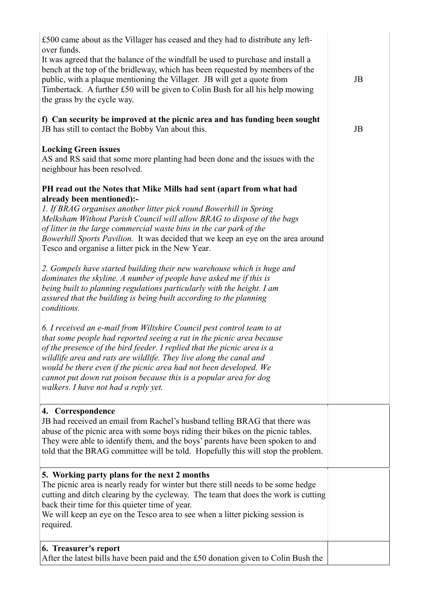| £500 came about as the Villager has ceased and they had to distribute any left-                                                                                                                                                                                                                                                                                                                                                                                                    |    |
|------------------------------------------------------------------------------------------------------------------------------------------------------------------------------------------------------------------------------------------------------------------------------------------------------------------------------------------------------------------------------------------------------------------------------------------------------------------------------------|----|
| over funds.<br>It was agreed that the balance of the windfall be used to purchase and install a<br>bench at the top of the bridleway, which has been requested by members of the<br>public, with a plaque mentioning the Villager. JB will get a quote from<br>Timbertack. A further £50 will be given to Colin Bush for all his help mowing<br>the grass by the cycle way.                                                                                                        | JB |
| f) Can security be improved at the picnic area and has funding been sought<br>JB has still to contact the Bobby Van about this.                                                                                                                                                                                                                                                                                                                                                    | JB |
| <b>Locking Green issues</b><br>AS and RS said that some more planting had been done and the issues with the<br>neighbour has been resolved.                                                                                                                                                                                                                                                                                                                                        |    |
| PH read out the Notes that Mike Mills had sent (apart from what had                                                                                                                                                                                                                                                                                                                                                                                                                |    |
| already been mentioned):-<br>1. If BRAG organises another litter pick round Bowerhill in Spring<br>Melksham Without Parish Council will allow BRAG to dispose of the bags<br>of litter in the large commercial waste bins in the car park of the<br>Bowerhill Sports Pavilion. It was decided that we keep an eye on the area around<br>Tesco and organise a litter pick in the New Year.                                                                                          |    |
| 2. Gompels have started building their new warehouse which is huge and<br>dominates the skyline. A number of people have asked me if this is<br>being built to planning regulations particularly with the height. I am<br>assured that the building is being built according to the planning<br>conditions.                                                                                                                                                                        |    |
| 6. I received an e-mail from Wiltshire Council pest control team to at<br>that some people had reported seeing a rat in the picnic area because<br>of the presence of the bird feeder. I replied that the picnic area is a<br>wildlife area and rats are wildlife. They live along the canal and<br>would be there even if the picnic area had not been developed. We<br>cannot put down rat poison because this is a popular area for dog<br>walkers. I have not had a reply yet. |    |
| 4. Correspondence<br>JB had received an email from Rachel's husband telling BRAG that there was<br>abuse of the picnic area with some boys riding their bikes on the picnic tables.<br>They were able to identify them, and the boys' parents have been spoken to and<br>told that the BRAG committee will be told. Hopefully this will stop the problem.                                                                                                                          |    |
| 5. Working party plans for the next 2 months<br>The picnic area is nearly ready for winter but there still needs to be some hedge<br>cutting and ditch clearing by the cycleway. The team that does the work is cutting<br>back their time for this quieter time of year.<br>We will keep an eye on the Tesco area to see when a litter picking session is<br>required.                                                                                                            |    |
| 6. Treasurer's report<br>After the latest bills have been paid and the £50 donation given to Colin Bush the                                                                                                                                                                                                                                                                                                                                                                        |    |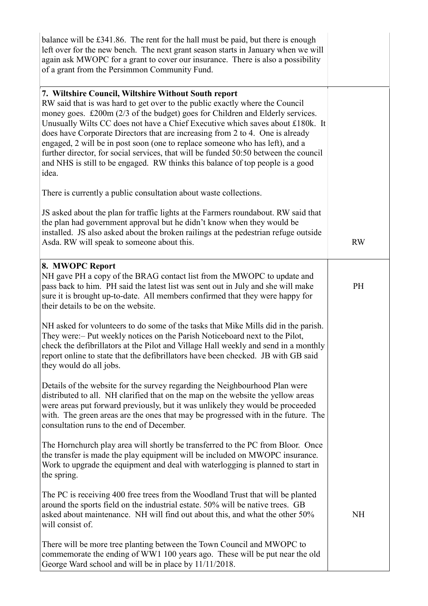| balance will be £341.86. The rent for the hall must be paid, but there is enough<br>left over for the new bench. The next grant season starts in January when we will<br>again ask MWOPC for a grant to cover our insurance. There is also a possibility<br>of a grant from the Persimmon Community Fund.                                                                                                                                                                                                                                                                                                                                                   |           |
|-------------------------------------------------------------------------------------------------------------------------------------------------------------------------------------------------------------------------------------------------------------------------------------------------------------------------------------------------------------------------------------------------------------------------------------------------------------------------------------------------------------------------------------------------------------------------------------------------------------------------------------------------------------|-----------|
| 7. Wiltshire Council, Wiltshire Without South report<br>RW said that is was hard to get over to the public exactly where the Council<br>money goes. £200m (2/3 of the budget) goes for Children and Elderly services.<br>Unusually Wilts CC does not have a Chief Executive which saves about £180k. It<br>does have Corporate Directors that are increasing from 2 to 4. One is already<br>engaged, 2 will be in post soon (one to replace someone who has left), and a<br>further director, for social services, that will be funded 50:50 between the council<br>and NHS is still to be engaged. RW thinks this balance of top people is a good<br>idea. |           |
| There is currently a public consultation about waste collections.                                                                                                                                                                                                                                                                                                                                                                                                                                                                                                                                                                                           |           |
| JS asked about the plan for traffic lights at the Farmers roundabout. RW said that<br>the plan had government approval but he didn't know when they would be<br>installed. JS also asked about the broken railings at the pedestrian refuge outside<br>Asda. RW will speak to someone about this.                                                                                                                                                                                                                                                                                                                                                           | <b>RW</b> |
| 8. MWOPC Report<br>NH gave PH a copy of the BRAG contact list from the MWOPC to update and<br>pass back to him. PH said the latest list was sent out in July and she will make<br>sure it is brought up-to-date. All members confirmed that they were happy for<br>their details to be on the website.                                                                                                                                                                                                                                                                                                                                                      | PH        |
| NH asked for volunteers to do some of the tasks that Mike Mills did in the parish.<br>They were: - Put weekly notices on the Parish Noticeboard next to the Pilot,<br>check the defibrillators at the Pilot and Village Hall weekly and send in a monthly<br>report online to state that the defibrillators have been checked. JB with GB said<br>they would do all jobs.                                                                                                                                                                                                                                                                                   |           |
| Details of the website for the survey regarding the Neighbourhood Plan were<br>distributed to all. NH clarified that on the map on the website the yellow areas<br>were areas put forward previously, but it was unlikely they would be proceeded<br>with. The green areas are the ones that may be progressed with in the future. The<br>consultation runs to the end of December.                                                                                                                                                                                                                                                                         |           |
| The Hornchurch play area will shortly be transferred to the PC from Bloor. Once<br>the transfer is made the play equipment will be included on MWOPC insurance.<br>Work to upgrade the equipment and deal with waterlogging is planned to start in<br>the spring.                                                                                                                                                                                                                                                                                                                                                                                           |           |
| The PC is receiving 400 free trees from the Woodland Trust that will be planted<br>around the sports field on the industrial estate. 50% will be native trees. GB<br>asked about maintenance. NH will find out about this, and what the other 50%<br>will consist of.                                                                                                                                                                                                                                                                                                                                                                                       | <b>NH</b> |
| There will be more tree planting between the Town Council and MWOPC to<br>commemorate the ending of WW1 100 years ago. These will be put near the old<br>George Ward school and will be in place by 11/11/2018.                                                                                                                                                                                                                                                                                                                                                                                                                                             |           |